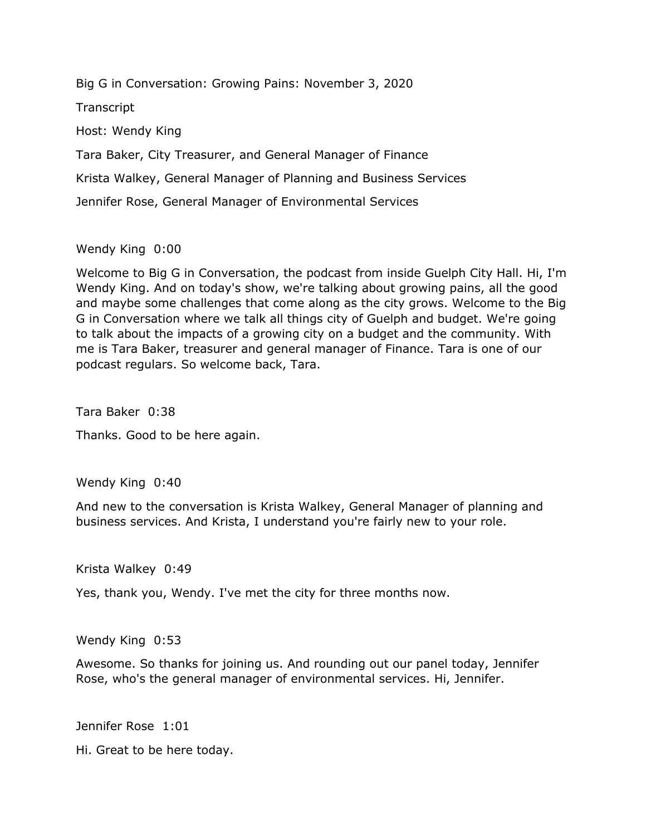Big G in Conversation: Growing Pains: November 3, 2020

**Transcript** 

Host: Wendy King

Tara Baker, City Treasurer, and General Manager of Finance

Krista Walkey, General Manager of Planning and Business Services

Jennifer Rose, General Manager of Environmental Services

Wendy King 0:00

 Welcome to Big G in Conversation, the podcast from inside Guelph City Hall. Hi, I'm Wendy King. And on today's show, we're talking about growing pains, all the good and maybe some challenges that come along as the city grows. Welcome to the Big G in Conversation where we talk all things city of Guelph and budget. We're going to talk about the impacts of a growing city on a budget and the community. With me is Tara Baker, treasurer and general manager of Finance. Tara is one of our podcast regulars. So welcome back, Tara.

Tara Baker 0:38

Thanks. Good to be here again.

Wendy King 0:40

 And new to the conversation is Krista Walkey, General Manager of planning and business services. And Krista, I understand you're fairly new to your role.

Krista Walkey 0:49

Yes, thank you, Wendy. I've met the city for three months now.

Wendy King 0:53

 Awesome. So thanks for joining us. And rounding out our panel today, Jennifer Rose, who's the general manager of environmental services. Hi, Jennifer.

Jennifer Rose 1:01

Jennifer Rose 1:01<br>Hi. Great to be here today.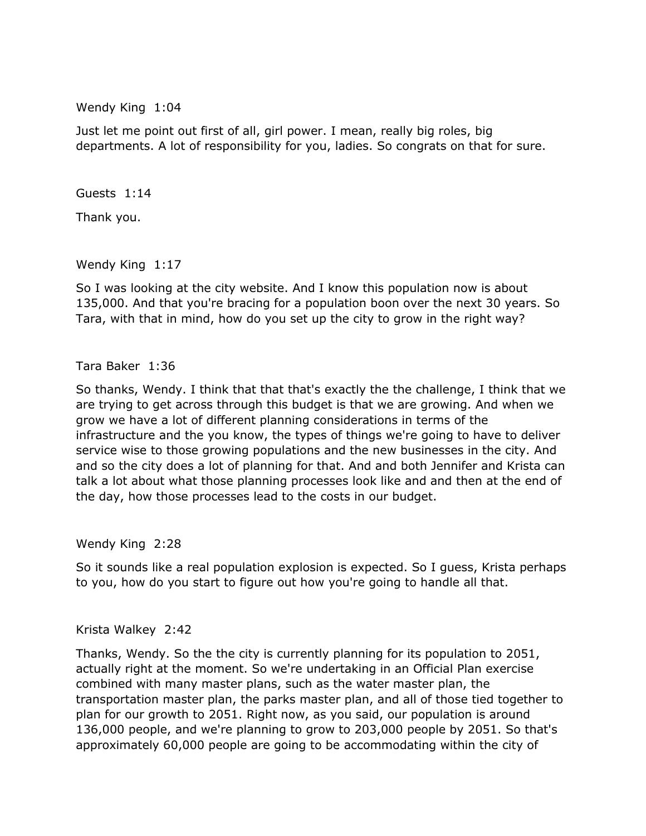Wendy King 1:04

 Just let me point out first of all, girl power. I mean, really big roles, big departments. A lot of responsibility for you, ladies. So congrats on that for sure.

Guests 1:14

Thank you.

Wendy King 1:17

 So I was looking at the city website. And I know this population now is about 135,000. And that you're bracing for a population boon over the next 30 years. So Tara, with that in mind, how do you set up the city to grow in the right way?

Tara Baker 1:36

 So thanks, Wendy. I think that that that's exactly the the challenge, I think that we are trying to get across through this budget is that we are growing. And when we grow we have a lot of different planning considerations in terms of the infrastructure and the you know, the types of things we're going to have to deliver service wise to those growing populations and the new businesses in the city. And and so the city does a lot of planning for that. And and both Jennifer and Krista can talk a lot about what those planning processes look like and and then at the end of the day, how those processes lead to the costs in our budget.

Wendy King 2:28

 So it sounds like a real population explosion is expected. So I guess, Krista perhaps to you, how do you start to figure out how you're going to handle all that.

Krista Walkey 2:42

 Thanks, Wendy. So the the city is currently planning for its population to 2051, actually right at the moment. So we're undertaking in an Official Plan exercise combined with many master plans, such as the water master plan, the transportation master plan, the parks master plan, and all of those tied together to plan for our growth to 2051. Right now, as you said, our population is around 136,000 people, and we're planning to grow to 203,000 people by 2051. So that's approximately 60,000 people are going to be accommodating within the city of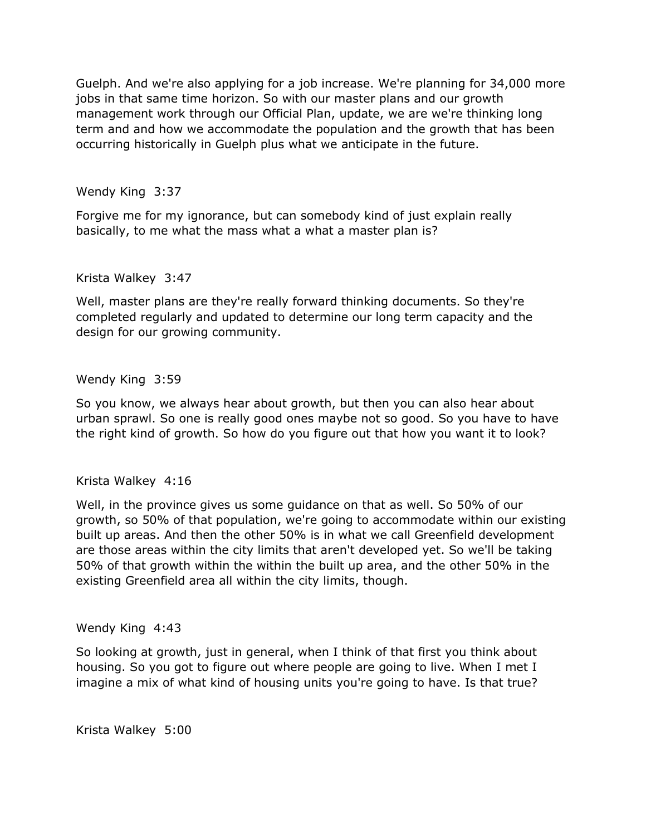Guelph. And we're also applying for a job increase. We're planning for 34,000 more jobs in that same time horizon. So with our master plans and our growth management work through our Official Plan, update, we are we're thinking long term and and how we accommodate the population and the growth that has been occurring historically in Guelph plus what we anticipate in the future.

Wendy King 3:37

 Forgive me for my ignorance, but can somebody kind of just explain really basically, to me what the mass what a what a master plan is?

Krista Walkey 3:47

 Well, master plans are they're really forward thinking documents. So they're completed regularly and updated to determine our long term capacity and the design for our growing community.

Wendy King 3:59

 So you know, we always hear about growth, but then you can also hear about urban sprawl. So one is really good ones maybe not so good. So you have to have the right kind of growth. So how do you figure out that how you want it to look?

Krista Walkey 4:16

 growth, so 50% of that population, we're going to accommodate within our existing built up areas. And then the other 50% is in what we call Greenfield development 50% of that growth within the within the built up area, and the other 50% in the existing Greenfield area all within the city limits, though. Well, in the province gives us some guidance on that as well. So 50% of our are those areas within the city limits that aren't developed yet. So we'll be taking

Wendy King 4:43

 So looking at growth, just in general, when I think of that first you think about housing. So you got to figure out where people are going to live. When I met I imagine a mix of what kind of housing units you're going to have. Is that true?

Krista Walkey 5:00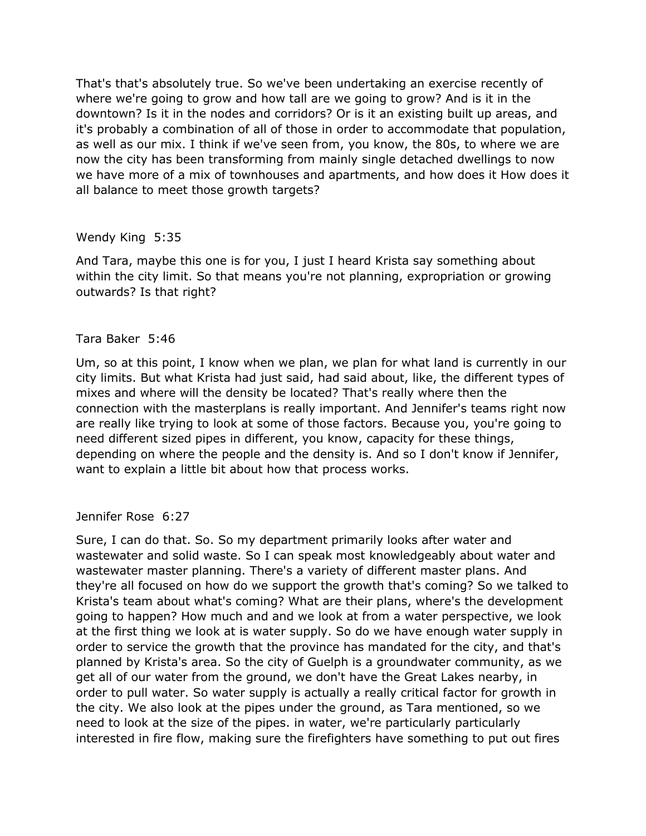That's that's absolutely true. So we've been undertaking an exercise recently of where we're going to grow and how tall are we going to grow? And is it in the downtown? Is it in the nodes and corridors? Or is it an existing built up areas, and it's probably a combination of all of those in order to accommodate that population, as well as our mix. I think if we've seen from, you know, the 80s, to where we are now the city has been transforming from mainly single detached dwellings to now we have more of a mix of townhouses and apartments, and how does it How does it all balance to meet those growth targets?

## Wendy King 5:35

 And Tara, maybe this one is for you, I just I heard Krista say something about within the city limit. So that means you're not planning, expropriation or growing outwards? Is that right?

## Tara Baker 5:46

 Um, so at this point, I know when we plan, we plan for what land is currently in our city limits. But what Krista had just said, had said about, like, the different types of connection with the masterplans is really important. And Jennifer's teams right now are really like trying to look at some of those factors. Because you, you're going to need different sized pipes in different, you know, capacity for these things, depending on where the people and the density is. And so I don't know if Jennifer, want to explain a little bit about how that process works. mixes and where will the density be located? That's really where then the

Jennifer Rose 6:27

Jennifer Rose 6:27<br>Sure, I can do that. So. So my department primarily looks after water and wastewater and solid waste. So I can speak most knowledgeably about water and wastewater master planning. There's a variety of different master plans. And Krista's team about what's coming? What are their plans, where's the development going to happen? How much and and we look at from a water perspective, we look at the first thing we look at is water supply. So do we have enough water supply in order to service the growth that the province has mandated for the city, and that's planned by Krista's area. So the city of Guelph is a groundwater community, as we get all of our water from the ground, we don't have the Great Lakes nearby, in order to pull water. So water supply is actually a really critical factor for growth in the city. We also look at the pipes under the ground, as Tara mentioned, so we need to look at the size of the pipes. in water, we're particularly particularly interested in fire flow, making sure the firefighters have something to put out fires they're all focused on how do we support the growth that's coming? So we talked to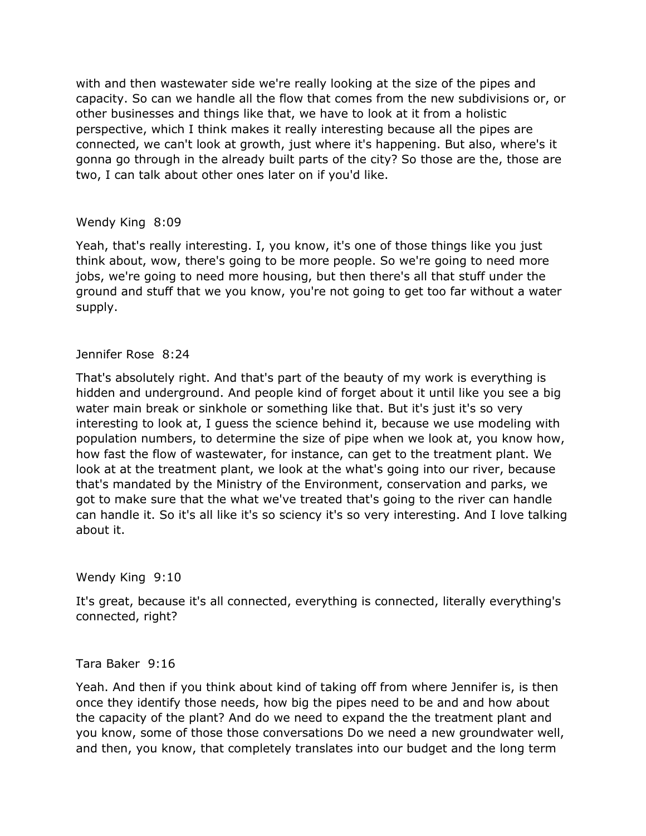with and then wastewater side we're really looking at the size of the pipes and other businesses and things like that, we have to look at it from a holistic perspective, which I think makes it really interesting because all the pipes are connected, we can't look at growth, just where it's happening. But also, where's it two, I can talk about other ones later on if you'd like. capacity. So can we handle all the flow that comes from the new subdivisions or, or gonna go through in the already built parts of the city? So those are the, those are

## Wendy King 8:09

 Yeah, that's really interesting. I, you know, it's one of those things like you just think about, wow, there's going to be more people. So we're going to need more jobs, we're going to need more housing, but then there's all that stuff under the ground and stuff that we you know, you're not going to get too far without a water supply.

## Jennifer Rose 8:24

Jennifer Rose 18:24<br>That's absolutely right. And that's part of the beauty of my work is everything is hidden and underground. And people kind of forget about it until like you see a big interesting to look at, I guess the science behind it, because we use modeling with population numbers, to determine the size of pipe when we look at, you know how, how fast the flow of wastewater, for instance, can get to the treatment plant. We look at at the treatment plant, we look at the what's going into our river, because that's mandated by the Ministry of the Environment, conservation and parks, we can handle it. So it's all like it's so sciency it's so very interesting. And I love talking water main break or sinkhole or something like that. But it's just it's so very got to make sure that the what we've treated that's going to the river can handle about it.

### Wendy King 9:10

 It's great, because it's all connected, everything is connected, literally everything's connected, right?

### Tara Baker 9:16

 Yeah. And then if you think about kind of taking off from where Jennifer is, is then once they identify those needs, how big the pipes need to be and and how about the capacity of the plant? And do we need to expand the the treatment plant and you know, some of those those conversations Do we need a new groundwater well, and then, you know, that completely translates into our budget and the long term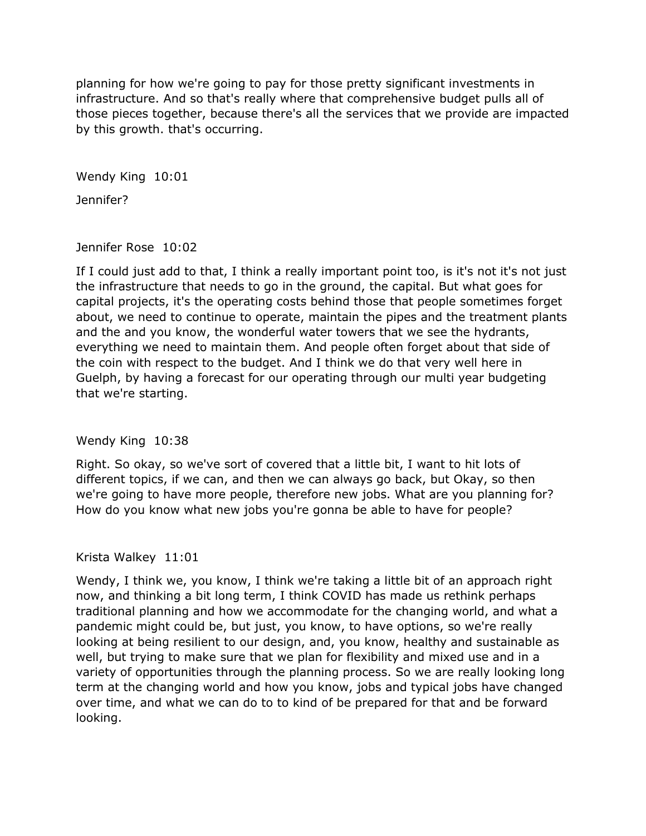planning for how we're going to pay for those pretty significant investments in infrastructure. And so that's really where that comprehensive budget pulls all of those pieces together, because there's all the services that we provide are impacted by this growth. that's occurring.

Wendy King 10:01

Jennifer?

Jennifer Rose 10:02

Jennifer Rose 10:02<br>If I could just add to that, I think a really important point too, is it's not it's not just capital projects, it's the operating costs behind those that people sometimes forget and the and you know, the wonderful water towers that we see the hydrants, everything we need to maintain them. And people often forget about that side of the coin with respect to the budget. And I think we do that very well here in Guelph, by having a forecast for our operating through our multi year budgeting the infrastructure that needs to go in the ground, the capital. But what goes for about, we need to continue to operate, maintain the pipes and the treatment plants that we're starting.

Wendy King 10:38

 Right. So okay, so we've sort of covered that a little bit, I want to hit lots of different topics, if we can, and then we can always go back, but Okay, so then How do you know what new jobs you're gonna be able to have for people? we're going to have more people, therefore new jobs. What are you planning for?

### Krista Walkey 11:01

 Wendy, I think we, you know, I think we're taking a little bit of an approach right now, and thinking a bit long term, I think COVID has made us rethink perhaps traditional planning and how we accommodate for the changing world, and what a pandemic might could be, but just, you know, to have options, so we're really looking at being resilient to our design, and, you know, healthy and sustainable as well, but trying to make sure that we plan for flexibility and mixed use and in a variety of opportunities through the planning process. So we are really looking long term at the changing world and how you know, jobs and typical jobs have changed over time, and what we can do to to kind of be prepared for that and be forward looking.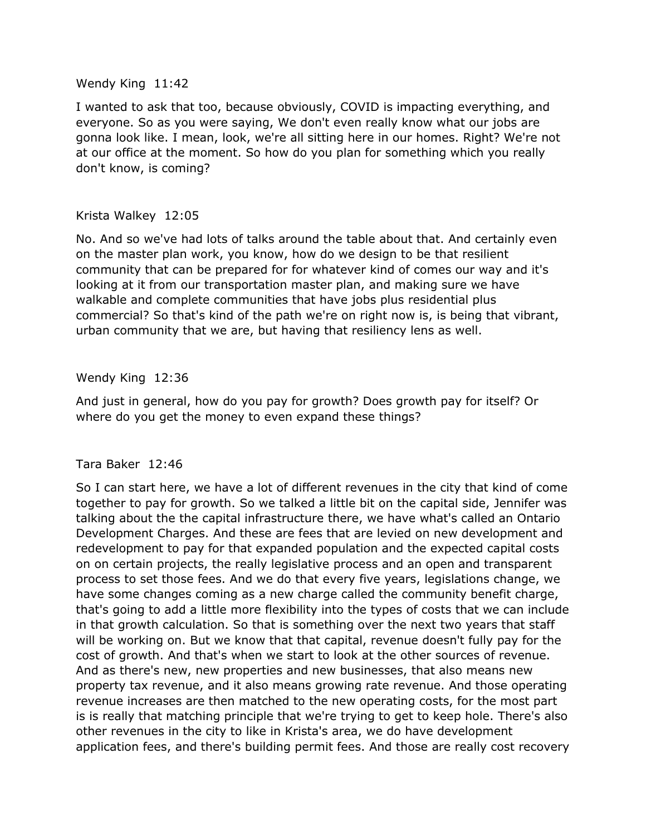#### Wendy King 11:42

 I wanted to ask that too, because obviously, COVID is impacting everything, and everyone. So as you were saying, We don't even really know what our jobs are gonna look like. I mean, look, we're all sitting here in our homes. Right? We're not at our office at the moment. So how do you plan for something which you really don't know, is coming?

### Krista Walkey 12:05

 No. And so we've had lots of talks around the table about that. And certainly even on the master plan work, you know, how do we design to be that resilient community that can be prepared for for whatever kind of comes our way and it's looking at it from our transportation master plan, and making sure we have commercial? So that's kind of the path we're on right now is, is being that vibrant, urban community that we are, but having that resiliency lens as well. walkable and complete communities that have jobs plus residential plus

## Wendy King 12:36

 And just in general, how do you pay for growth? Does growth pay for itself? Or where do you get the money to even expand these things?

### Tara Baker 12:46

 So I can start here, we have a lot of different revenues in the city that kind of come together to pay for growth. So we talked a little bit on the capital side, Jennifer was talking about the the capital infrastructure there, we have what's called an Ontario Development Charges. And these are fees that are levied on new development and redevelopment to pay for that expanded population and the expected capital costs on on certain projects, the really legislative process and an open and transparent process to set those fees. And we do that every five years, legislations change, we have some changes coming as a new charge called the community benefit charge, that's going to add a little more flexibility into the types of costs that we can include will be working on. But we know that that capital, revenue doesn't fully pay for the cost of growth. And that's when we start to look at the other sources of revenue. And as there's new, new properties and new businesses, that also means new property tax revenue, and it also means growing rate revenue. And those operating revenue increases are then matched to the new operating costs, for the most part is is really that matching principle that we're trying to get to keep hole. There's also other revenues in the city to like in Krista's area, we do have development application fees, and there's building permit fees. And those are really cost recovery in that growth calculation. So that is something over the next two years that staff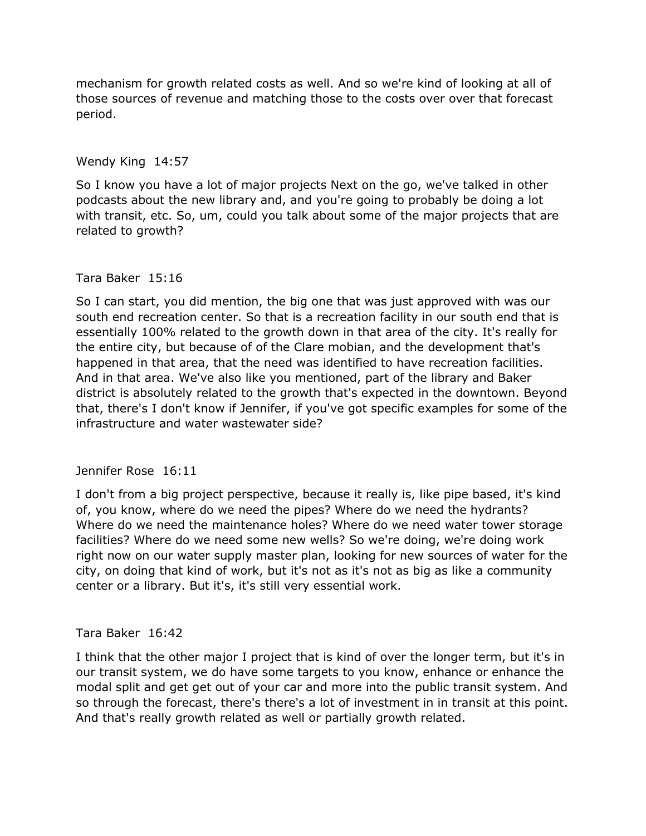mechanism for growth related costs as well. And so we're kind of looking at all of those sources of revenue and matching those to the costs over over that forecast period.

# Wendy King 14:57

 So I know you have a lot of major projects Next on the go, we've talked in other podcasts about the new library and, and you're going to probably be doing a lot with transit, etc. So, um, could you talk about some of the major projects that are related to growth?

## Tara Baker 15:16

 So I can start, you did mention, the big one that was just approved with was our south end recreation center. So that is a recreation facility in our south end that is essentially 100% related to the growth down in that area of the city. It's really for the entire city, but because of of the Clare mobian, and the development that's And in that area. We've also like you mentioned, part of the library and Baker district is absolutely related to the growth that's expected in the downtown. Beyond that, there's I don't know if Jennifer, if you've got specific examples for some of the infrastructure and water wastewater side? happened in that area, that the need was identified to have recreation facilities.

# Jennifer Rose 16:11

Jennifer Rose 16:11<br>I don't from a big project perspective, because it really is, like pipe based, it's kind Where do we need the maintenance holes? Where do we need water tower storage facilities? Where do we need some new wells? So we're doing, we're doing work right now on our water supply master plan, looking for new sources of water for the city, on doing that kind of work, but it's not as it's not as big as like a community center or a library. But it's, it's still very essential work. of, you know, where do we need the pipes? Where do we need the hydrants?

### Tara Baker 16:42

 I think that the other major I project that is kind of over the longer term, but it's in our transit system, we do have some targets to you know, enhance or enhance the modal split and get get out of your car and more into the public transit system. And so through the forecast, there's there's a lot of investment in in transit at this point. And that's really growth related as well or partially growth related.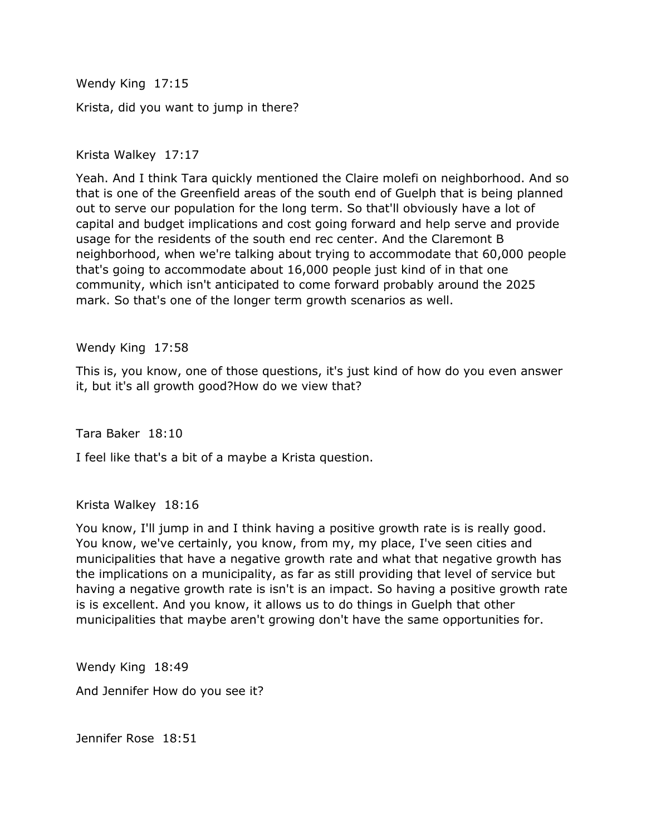Wendy King 17:15 Krista, did you want to jump in there?

Krista Walkey 17:17

 Yeah. And I think Tara quickly mentioned the Claire molefi on neighborhood. And so out to serve our population for the long term. So that'll obviously have a lot of capital and budget implications and cost going forward and help serve and provide usage for the residents of the south end rec center. And the Claremont B neighborhood, when we're talking about trying to accommodate that 60,000 people that's going to accommodate about 16,000 people just kind of in that one community, which isn't anticipated to come forward probably around the 2025 that is one of the Greenfield areas of the south end of Guelph that is being planned mark. So that's one of the longer term growth scenarios as well.

Wendy King 17:58

 This is, you know, one of those questions, it's just kind of how do you even answer it, but it's all growth good?How do we view that?

Tara Baker 18:10

I feel like that's a bit of a maybe a Krista question.

Krista Walkey 18:16

 You know, I'll jump in and I think having a positive growth rate is is really good. You know, we've certainly, you know, from my, my place, I've seen cities and municipalities that have a negative growth rate and what that negative growth has the implications on a municipality, as far as still providing that level of service but having a negative growth rate is isn't is an impact. So having a positive growth rate is is excellent. And you know, it allows us to do things in Guelph that other municipalities that maybe aren't growing don't have the same opportunities for.

 Wendy King 18:49 And Jennifer How do you see it?

Jennifer Rose 18:51